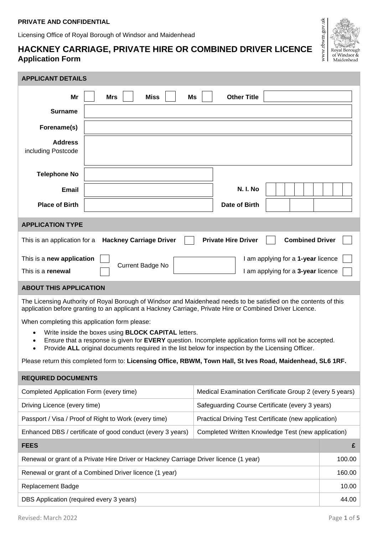Licensing Office of Royal Borough of Windsor and Maidenhead

# **HACKNEY CARRIAGE, PRIVATE HIRE OR COMBINED DRIVER LICENCE Application Form**



| DBS Application (required every 3 years) | 44.00 |
|------------------------------------------|-------|
|                                          |       |

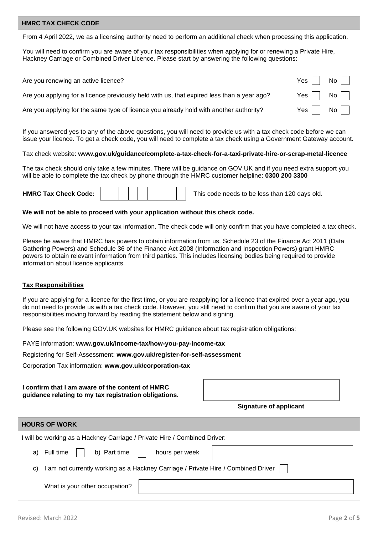## **HMRC TAX CHECK CODE**

From 4 April 2022, we as a licensing authority need to perform an additional check when processing this application.

You will need to confirm you are aware of your tax responsibilities when applying for or renewing a Private Hire, Hackney Carriage or Combined Driver Licence. Please start by answering the following questions:

| Are you renewing an active licence?                                                        | Yes $\vert$ $\vert$ No $\vert$ $\vert$ |  |
|--------------------------------------------------------------------------------------------|----------------------------------------|--|
| Are you applying for a licence previously held with us, that expired less than a year ago? | Yes $\vert$ $\vert$ No $\vert$ $\vert$ |  |
| Are you applying for the same type of licence you already hold with another authority?     | Yes $\vert$ $\vert$ No $\vert$ $\vert$ |  |

If you answered yes to any of the above questions, you will need to provide us with a tax check code before we can issue your licence. To get a check code, you will need to complete a tax check using a Government Gateway account.

## Tax check website: **www.gov.uk/guidance/complete-a-tax-check-for-a-taxi-private-hire-or-scrap-metal-licence**

The tax check should only take a few minutes. There will be guidance on GOV.UK and if you need extra support you will be able to complete the tax check by phone through the HMRC customer helpline: **0300 200 3300**



## **We will not be able to proceed with your application without this check code.**

We will not have access to your tax information. The check code will only confirm that you have completed a tax check.

Please be aware that HMRC has powers to obtain information from us. Schedule 23 of the Finance Act 2011 (Data Gathering Powers) and Schedule 36 of the Finance Act 2008 (Information and Inspection Powers) grant HMRC powers to obtain relevant information from third parties. This includes licensing bodies being required to provide information about licence applicants.

## **Tax Responsibilities**

If you are applying for a licence for the first time, or you are reapplying for a licence that expired over a year ago, you do not need to provide us with a tax check code. However, you still need to confirm that you are aware of your tax responsibilities moving forward by reading the statement below and signing.

Please see the following GOV.UK websites for HMRC guidance about tax registration obligations:

PAYE information: **[www.gov.uk/income-tax/how-you-pay-income-tax](http://www.gov.uk/income-tax/how-you-pay-income-tax)**

Registering for Self-Assessment: **[www.gov.uk/register-for-self-assessment](http://www.gov.uk/register-for-self-assessment)**

Corporation Tax information: **[www.gov.uk/corporation-tax](http://www.gov.uk/corporation-tax)**

| I confirm that I am aware of the content of HMRC      |
|-------------------------------------------------------|
| guidance relating to my tax registration obligations. |

### **Signature of applicant**

#### **HOURS OF WORK**

I will be working as a Hackney Carriage / Private Hire / Combined Driver:

| a)                                                                                      | b) Part time<br>Full time<br>hours per week |  |  |  |  |
|-----------------------------------------------------------------------------------------|---------------------------------------------|--|--|--|--|
| I am not currently working as a Hackney Carriage / Private Hire / Combined Driver<br>C) |                                             |  |  |  |  |
|                                                                                         | What is your other occupation?              |  |  |  |  |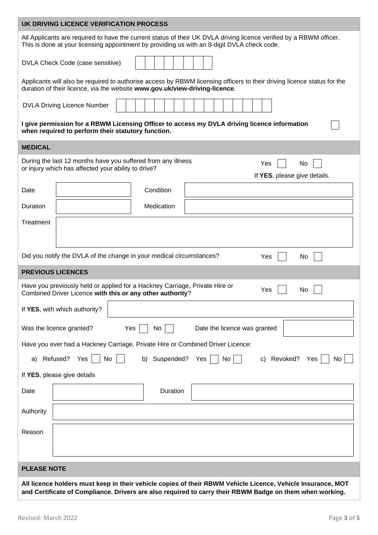| UK DRIVING LICENCE VERIFICATION PROCESS                                                                                                                                                                                 |  |  |  |  |  |
|-------------------------------------------------------------------------------------------------------------------------------------------------------------------------------------------------------------------------|--|--|--|--|--|
| All Applicants are required to have the current status of their UK DVLA driving licence verified by a RBWM officer.<br>This is done at your licensing appointment by providing us with an 8-digit DVLA check code.      |  |  |  |  |  |
| DVLA Check Code (case sensitive)                                                                                                                                                                                        |  |  |  |  |  |
| Applicants will also be required to authorise access by RBWM licensing officers to their driving licence status for the<br>duration of their licence, via the website www.gov.uk/view-driving-licence.                  |  |  |  |  |  |
| <b>DVLA Driving Licence Number</b>                                                                                                                                                                                      |  |  |  |  |  |
| I give permission for a RBWM Licensing Officer to access my DVLA driving licence information<br>when required to perform their statutory function.                                                                      |  |  |  |  |  |
| <b>MEDICAL</b>                                                                                                                                                                                                          |  |  |  |  |  |
| During the last 12 months have you suffered from any illness<br>Yes<br>No<br>or injury which has affected your ability to drive?<br>If YES, please give details.                                                        |  |  |  |  |  |
| Condition<br>Date                                                                                                                                                                                                       |  |  |  |  |  |
| Duration<br>Medication                                                                                                                                                                                                  |  |  |  |  |  |
| Treatment                                                                                                                                                                                                               |  |  |  |  |  |
| Did you notify the DVLA of the change in your medical circumstances?<br>Yes<br>No                                                                                                                                       |  |  |  |  |  |
| <b>PREVIOUS LICENCES</b>                                                                                                                                                                                                |  |  |  |  |  |
| Have you previously held or applied for a Hackney Carriage, Private Hire or<br>Yes<br>No<br>Combined Driver Licence with this or any other authority?                                                                   |  |  |  |  |  |
| If YES, with which authority?                                                                                                                                                                                           |  |  |  |  |  |
| Was the licence granted?<br>No<br>Yes<br>Date the licence was granted                                                                                                                                                   |  |  |  |  |  |
| Have you ever had a Hackney Carriage, Private Hire or Combined Driver Licence:                                                                                                                                          |  |  |  |  |  |
| Refused? Yes<br>No<br>Suspended? Yes<br>No<br>c) Revoked?<br>Yes<br>No<br>b)<br>a)                                                                                                                                      |  |  |  |  |  |
| If YES, please give details                                                                                                                                                                                             |  |  |  |  |  |
| Duration<br>Date                                                                                                                                                                                                        |  |  |  |  |  |
| Authority                                                                                                                                                                                                               |  |  |  |  |  |
| Reason                                                                                                                                                                                                                  |  |  |  |  |  |
| <b>PLEASE NOTE</b>                                                                                                                                                                                                      |  |  |  |  |  |
| All licence holders must keep in their vehicle copies of their RBWM Vehicle Licence, Vehicle Insurance, MOT<br>and Certificate of Compliance. Drivers are also required to carry their RBWM Badge on them when working. |  |  |  |  |  |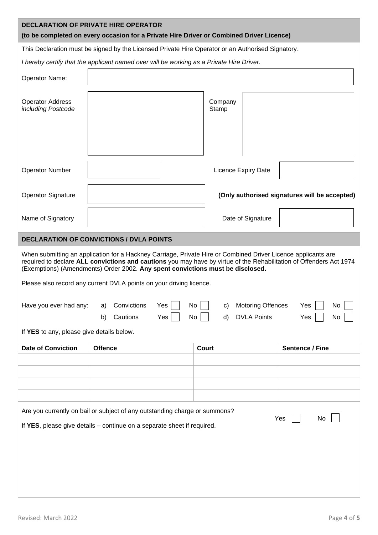| <b>DECLARATION OF PRIVATE HIRE OPERATOR</b><br>(to be completed on every occasion for a Private Hire Driver or Combined Driver Licence)                                                                                                                                                                                |                                                                                          |                                                                        |                                               |  |  |  |  |
|------------------------------------------------------------------------------------------------------------------------------------------------------------------------------------------------------------------------------------------------------------------------------------------------------------------------|------------------------------------------------------------------------------------------|------------------------------------------------------------------------|-----------------------------------------------|--|--|--|--|
| This Declaration must be signed by the Licensed Private Hire Operator or an Authorised Signatory.                                                                                                                                                                                                                      |                                                                                          |                                                                        |                                               |  |  |  |  |
|                                                                                                                                                                                                                                                                                                                        | I hereby certify that the applicant named over will be working as a Private Hire Driver. |                                                                        |                                               |  |  |  |  |
| Operator Name:                                                                                                                                                                                                                                                                                                         |                                                                                          |                                                                        |                                               |  |  |  |  |
| <b>Operator Address</b><br>including Postcode                                                                                                                                                                                                                                                                          |                                                                                          | Company<br>Stamp                                                       |                                               |  |  |  |  |
| <b>Operator Number</b>                                                                                                                                                                                                                                                                                                 |                                                                                          | <b>Licence Expiry Date</b>                                             |                                               |  |  |  |  |
| <b>Operator Signature</b>                                                                                                                                                                                                                                                                                              |                                                                                          |                                                                        | (Only authorised signatures will be accepted) |  |  |  |  |
| Name of Signatory                                                                                                                                                                                                                                                                                                      |                                                                                          | Date of Signature                                                      |                                               |  |  |  |  |
|                                                                                                                                                                                                                                                                                                                        | <b>DECLARATION OF CONVICTIONS / DVLA POINTS</b>                                          |                                                                        |                                               |  |  |  |  |
| When submitting an application for a Hackney Carriage, Private Hire or Combined Driver Licence applicants are<br>required to declare ALL convictions and cautions you may have by virtue of the Rehabilitation of Offenders Act 1974<br>(Exemptions) (Amendments) Order 2002. Any spent convictions must be disclosed. |                                                                                          |                                                                        |                                               |  |  |  |  |
|                                                                                                                                                                                                                                                                                                                        | Please also record any current DVLA points on your driving licence.                      |                                                                        |                                               |  |  |  |  |
| Have you ever had any:                                                                                                                                                                                                                                                                                                 | Convictions<br>Yes<br>a)<br>Cautions<br>Yes<br>b)                                        | No<br><b>Motoring Offences</b><br>c)<br>No<br><b>DVLA Points</b><br>d) | Yes<br>No<br>Yes<br>No                        |  |  |  |  |
| If YES to any, please give details below.                                                                                                                                                                                                                                                                              |                                                                                          |                                                                        |                                               |  |  |  |  |
| <b>Date of Conviction</b>                                                                                                                                                                                                                                                                                              | <b>Offence</b>                                                                           | <b>Court</b>                                                           | Sentence / Fine                               |  |  |  |  |
|                                                                                                                                                                                                                                                                                                                        |                                                                                          |                                                                        |                                               |  |  |  |  |
|                                                                                                                                                                                                                                                                                                                        |                                                                                          |                                                                        |                                               |  |  |  |  |
|                                                                                                                                                                                                                                                                                                                        |                                                                                          |                                                                        |                                               |  |  |  |  |
|                                                                                                                                                                                                                                                                                                                        |                                                                                          |                                                                        |                                               |  |  |  |  |
| Are you currently on bail or subject of any outstanding charge or summons?<br>Yes<br>No<br>If YES, please give details - continue on a separate sheet if required.                                                                                                                                                     |                                                                                          |                                                                        |                                               |  |  |  |  |
|                                                                                                                                                                                                                                                                                                                        |                                                                                          |                                                                        |                                               |  |  |  |  |